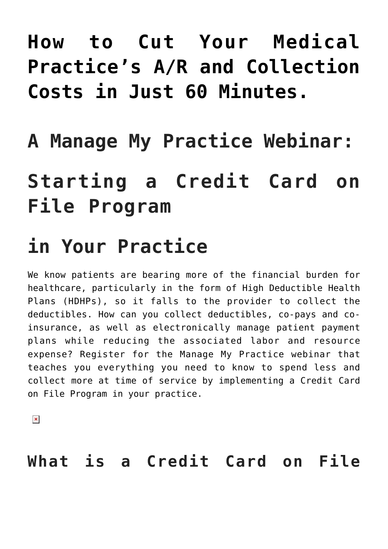## **[How to Cut Your Medical](https://managemypractice.com/how-to-cut-your-medical-practices-ar-and-collection-costs-in-just-60-minutes/) [Practice's A/R and Collection](https://managemypractice.com/how-to-cut-your-medical-practices-ar-and-collection-costs-in-just-60-minutes/) [Costs in Just 60 Minutes.](https://managemypractice.com/how-to-cut-your-medical-practices-ar-and-collection-costs-in-just-60-minutes/)**

# **A Manage My Practice Webinar:**

## **Starting a Credit Card on File Program**

## **in Your Practice**

We know patients are bearing more of the financial burden for healthcare, particularly in the form of High Deductible Health Plans (HDHPs), so it falls to the provider to collect the deductibles. How can you collect deductibles, co-pays and coinsurance, as well as electronically manage patient payment plans while reducing the associated labor and resource expense? Register for the Manage My Practice webinar that teaches you everything you need to know to spend less and collect more at time of service by implementing a Credit Card on File Program in your practice.

 $\pmb{\times}$ 

**What is a Credit Card on File**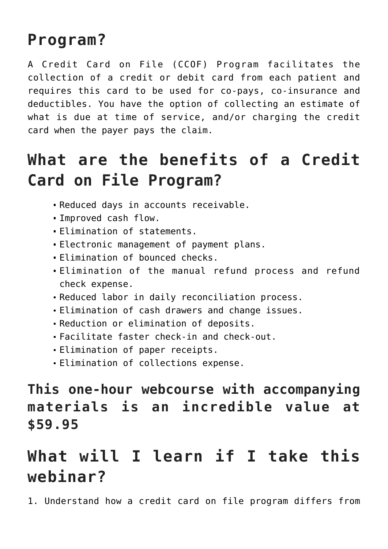#### **Program?**

A Credit Card on File (CCOF) Program facilitates the collection of a credit or debit card from each patient and requires this card to be used for co-pays, co-insurance and deductibles. You have the option of collecting an estimate of what is due at time of service, and/or charging the credit card when the payer pays the claim.

### **What are the benefits of a Credit Card on File Program?**

- Reduced days in accounts receivable.
- Improved cash flow.
- Elimination of statements.
- Electronic management of payment plans.
- Elimination of bounced checks.
- Elimination of the manual refund process and refund check expense.
- Reduced labor in daily reconciliation process.
- Elimination of cash drawers and change issues.
- Reduction or elimination of deposits.
- Facilitate faster check-in and check-out.
- Elimination of paper receipts.
- Elimination of collections expense.

#### **This one-hour webcourse with accompanying materials is an incredible value at \$59.95**

### **What will I learn if I take this webinar?**

1. Understand how a credit card on file program differs from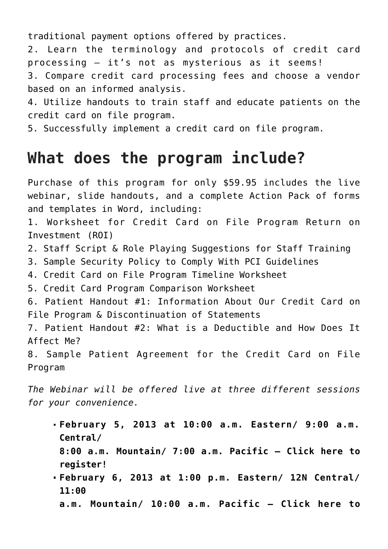traditional payment options offered by practices.

2. Learn the terminology and protocols of credit card processing – it's not as mysterious as it seems!

3. Compare credit card processing fees and choose a vendor based on an informed analysis.

4. Utilize handouts to train staff and educate patients on the credit card on file program.

5. Successfully implement a credit card on file program.

#### **What does the program include?**

Purchase of this program for only \$59.95 includes the live webinar, slide handouts, and a complete Action Pack of forms and templates in Word, including:

1. Worksheet for Credit Card on File Program Return on Investment (ROI)

2. Staff Script & Role Playing Suggestions for Staff Training

3. Sample Security Policy to Comply With PCI Guidelines

4. Credit Card on File Program Timeline Worksheet

5. Credit Card Program Comparison Worksheet

6. Patient Handout #1: Information About Our Credit Card on File Program & Discontinuation of Statements

7. Patient Handout #2: What is a Deductible and How Does It Affect Me?

8. Sample Patient Agreement for the Credit Card on File Program

*The Webinar will be offered live at three different sessions for your convenience.*

**February 5, 2013 at 10:00 a.m. Eastern/ 9:00 a.m. Central/**

**8:00 a.m. Mountain/ 7:00 a.m. Pacific – [Click here to](https://student.gototraining.com/r/804775789149425152) [register!](https://student.gototraining.com/r/804775789149425152)**

- **February 6, 2013 at 1:00 p.m. Eastern/ 12N Central/ 11:00**
	- **a.m. Mountain/ 10:00 a.m. Pacific [Click here to](https://student.gototraining.com/r/8101856230744078592)**